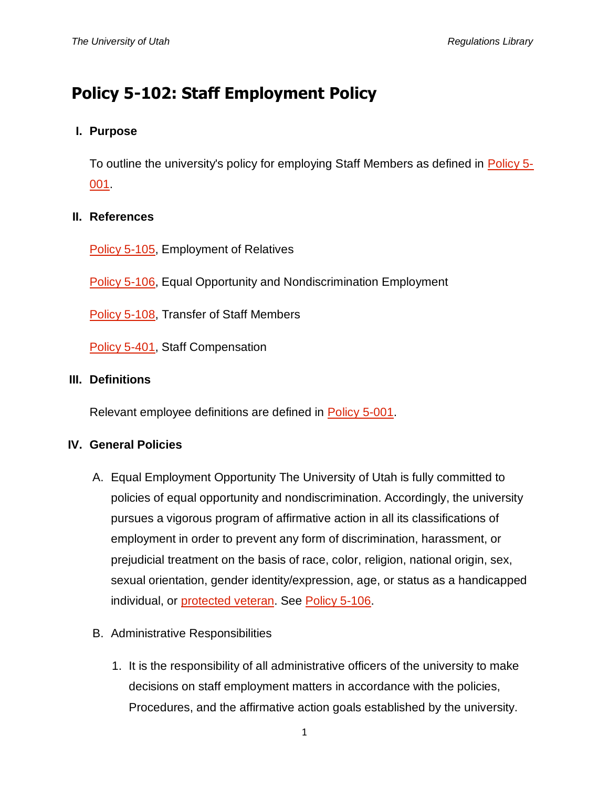# **Policy 5-102: Staff Employment Policy**

# **I. Purpose**

To outline the university's policy for employing Staff Members as defined in [Policy 5-](http://regulations.utah.edu/human-resources/5-001.php) [001.](http://regulations.utah.edu/human-resources/5-001.php)

## **II. References**

[Policy 5-105,](http://regulations.utah.edu/human-resources/5-105.php) Employment of Relatives

[Policy 5-106,](http://regulations.utah.edu/human-resources/5-106.php) Equal Opportunity and Nondiscrimination Employment

[Policy 5-108,](http://regulations.utah.edu/human-resources/5-108.php) Transfer of Staff Members

[Policy 5-401,](http://regulations.utah.edu/human-resources/5-401.php) Staff Compensation

#### **III. Definitions**

Relevant employee definitions are defined in [Policy 5-001.](http://regulations.utah.edu/human-resources/5-001.php)

#### **IV. General Policies**

- A. Equal Employment Opportunity The University of Utah is fully committed to policies of equal opportunity and nondiscrimination. Accordingly, the university pursues a vigorous program of affirmative action in all its classifications of employment in order to prevent any form of discrimination, harassment, or prejudicial treatment on the basis of race, color, religion, national origin, sex, sexual orientation, gender identity/expression, age, or status as a handicapped individual, or [protected veteran.](https://www.dol.gov/) See [Policy 5-106.](http://regulations.utah.edu/human-resources/5-106.php)
- B. Administrative Responsibilities
	- 1. It is the responsibility of all administrative officers of the university to make decisions on staff employment matters in accordance with the policies, Procedures, and the affirmative action goals established by the university.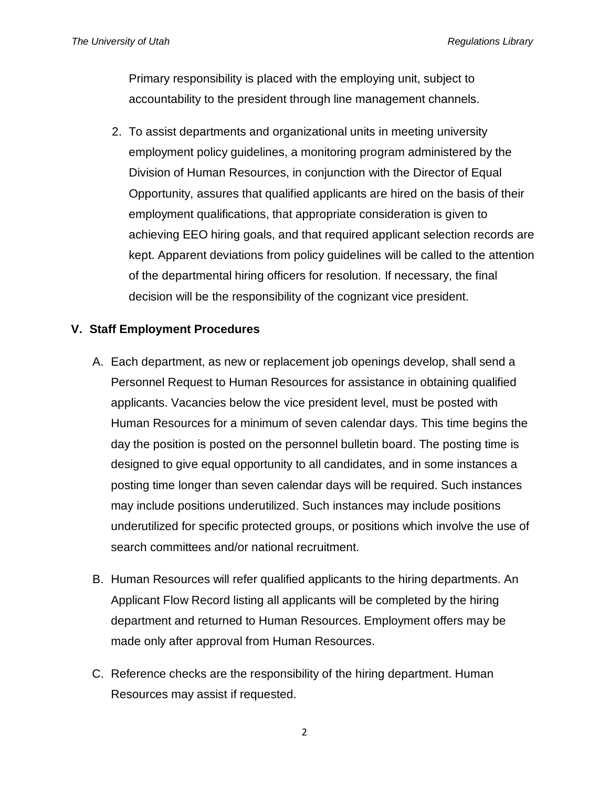Primary responsibility is placed with the employing unit, subject to accountability to the president through line management channels.

2. To assist departments and organizational units in meeting university employment policy guidelines, a monitoring program administered by the Division of Human Resources, in conjunction with the Director of Equal Opportunity, assures that qualified applicants are hired on the basis of their employment qualifications, that appropriate consideration is given to achieving EEO hiring goals, and that required applicant selection records are kept. Apparent deviations from policy guidelines will be called to the attention of the departmental hiring officers for resolution. If necessary, the final decision will be the responsibility of the cognizant vice president.

# **V. Staff Employment Procedures**

- A. Each department, as new or replacement job openings develop, shall send a Personnel Request to Human Resources for assistance in obtaining qualified applicants. Vacancies below the vice president level, must be posted with Human Resources for a minimum of seven calendar days. This time begins the day the position is posted on the personnel bulletin board. The posting time is designed to give equal opportunity to all candidates, and in some instances a posting time longer than seven calendar days will be required. Such instances may include positions underutilized. Such instances may include positions underutilized for specific protected groups, or positions which involve the use of search committees and/or national recruitment.
- B. Human Resources will refer qualified applicants to the hiring departments. An Applicant Flow Record listing all applicants will be completed by the hiring department and returned to Human Resources. Employment offers may be made only after approval from Human Resources.
- C. Reference checks are the responsibility of the hiring department. Human Resources may assist if requested.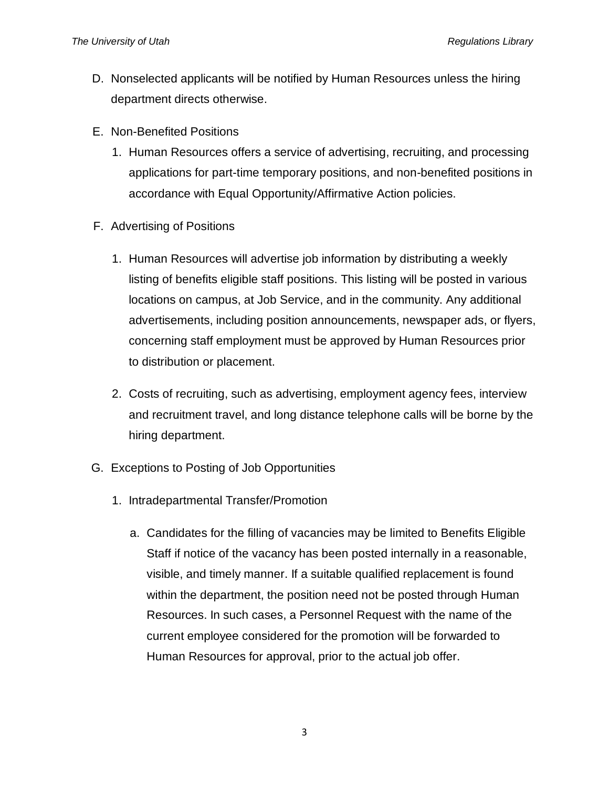- D. Nonselected applicants will be notified by Human Resources unless the hiring department directs otherwise.
- E. Non-Benefited Positions
	- 1. Human Resources offers a service of advertising, recruiting, and processing applications for part-time temporary positions, and non-benefited positions in accordance with Equal Opportunity/Affirmative Action policies.
- F. Advertising of Positions
	- 1. Human Resources will advertise job information by distributing a weekly listing of benefits eligible staff positions. This listing will be posted in various locations on campus, at Job Service, and in the community. Any additional advertisements, including position announcements, newspaper ads, or flyers, concerning staff employment must be approved by Human Resources prior to distribution or placement.
	- 2. Costs of recruiting, such as advertising, employment agency fees, interview and recruitment travel, and long distance telephone calls will be borne by the hiring department.
- G. Exceptions to Posting of Job Opportunities
	- 1. Intradepartmental Transfer/Promotion
		- a. Candidates for the filling of vacancies may be limited to Benefits Eligible Staff if notice of the vacancy has been posted internally in a reasonable, visible, and timely manner. If a suitable qualified replacement is found within the department, the position need not be posted through Human Resources. In such cases, a Personnel Request with the name of the current employee considered for the promotion will be forwarded to Human Resources for approval, prior to the actual job offer.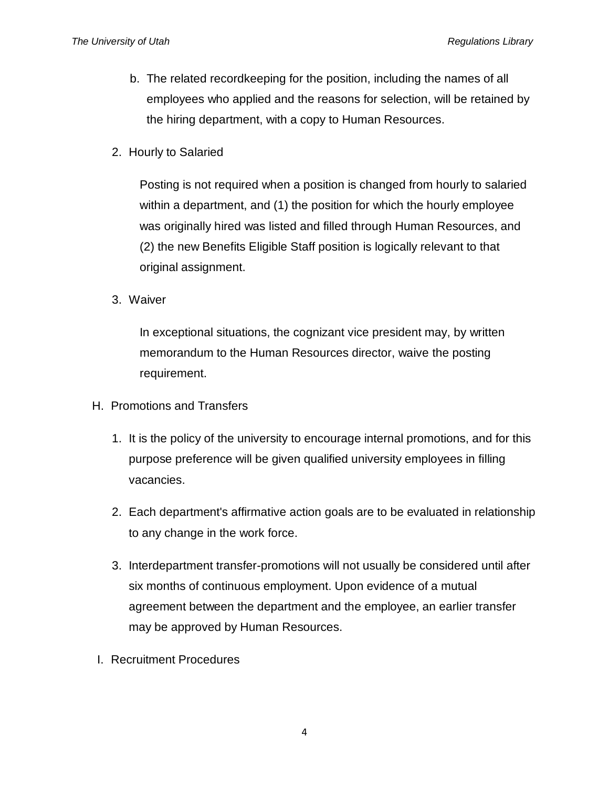- b. The related recordkeeping for the position, including the names of all employees who applied and the reasons for selection, will be retained by the hiring department, with a copy to Human Resources.
- 2. Hourly to Salaried

Posting is not required when a position is changed from hourly to salaried within a department, and (1) the position for which the hourly employee was originally hired was listed and filled through Human Resources, and (2) the new Benefits Eligible Staff position is logically relevant to that original assignment.

3. Waiver

In exceptional situations, the cognizant vice president may, by written memorandum to the Human Resources director, waive the posting requirement.

- H. Promotions and Transfers
	- 1. It is the policy of the university to encourage internal promotions, and for this purpose preference will be given qualified university employees in filling vacancies.
	- 2. Each department's affirmative action goals are to be evaluated in relationship to any change in the work force.
	- 3. Interdepartment transfer-promotions will not usually be considered until after six months of continuous employment. Upon evidence of a mutual agreement between the department and the employee, an earlier transfer may be approved by Human Resources.
- I. Recruitment Procedures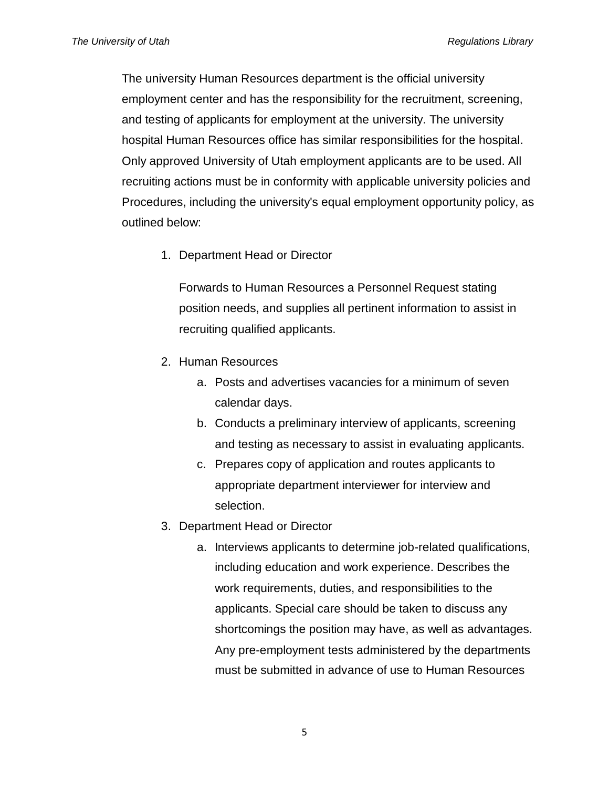The university Human Resources department is the official university employment center and has the responsibility for the recruitment, screening, and testing of applicants for employment at the university. The university hospital Human Resources office has similar responsibilities for the hospital. Only approved University of Utah employment applicants are to be used. All recruiting actions must be in conformity with applicable university policies and Procedures, including the university's equal employment opportunity policy, as outlined below:

1. Department Head or Director

Forwards to Human Resources a Personnel Request stating position needs, and supplies all pertinent information to assist in recruiting qualified applicants.

- 2. Human Resources
	- a. Posts and advertises vacancies for a minimum of seven calendar days.
	- b. Conducts a preliminary interview of applicants, screening and testing as necessary to assist in evaluating applicants.
	- c. Prepares copy of application and routes applicants to appropriate department interviewer for interview and selection.
- 3. Department Head or Director
	- a. Interviews applicants to determine job-related qualifications, including education and work experience. Describes the work requirements, duties, and responsibilities to the applicants. Special care should be taken to discuss any shortcomings the position may have, as well as advantages. Any pre-employment tests administered by the departments must be submitted in advance of use to Human Resources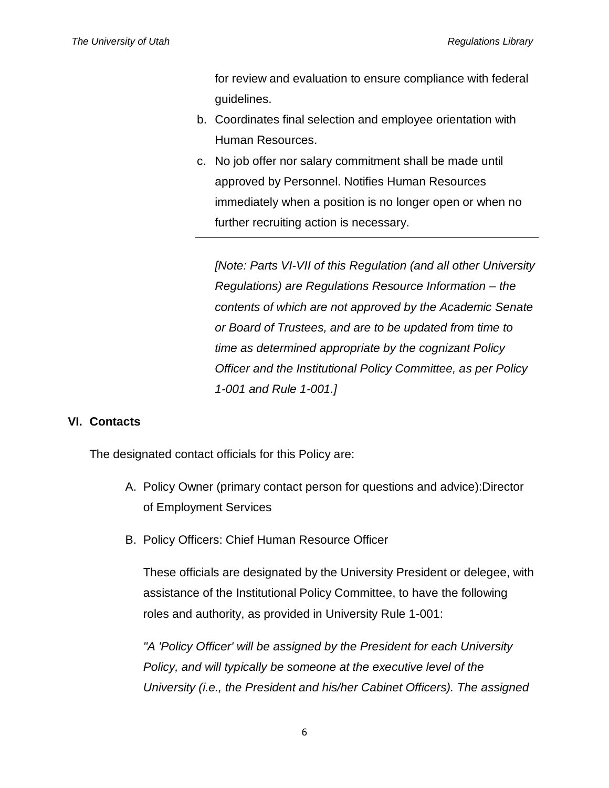for review and evaluation to ensure compliance with federal guidelines.

- b. Coordinates final selection and employee orientation with Human Resources.
- c. No job offer nor salary commitment shall be made until approved by Personnel. Notifies Human Resources immediately when a position is no longer open or when no further recruiting action is necessary.

*[Note: Parts VI-VII of this Regulation (and all other University Regulations) are Regulations Resource Information – the contents of which are not approved by the Academic Senate or Board of Trustees, and are to be updated from time to time as determined appropriate by the cognizant Policy Officer and the Institutional Policy Committee, as per Policy 1-001 and Rule 1-001.]*

#### **VI. Contacts**

The designated contact officials for this Policy are:

- A. Policy Owner (primary contact person for questions and advice):Director of Employment Services
- B. Policy Officers: Chief Human Resource Officer

These officials are designated by the University President or delegee, with assistance of the Institutional Policy Committee, to have the following roles and authority, as provided in University Rule 1-001:

*"A 'Policy Officer' will be assigned by the President for each University Policy, and will typically be someone at the executive level of the University (i.e., the President and his/her Cabinet Officers). The assigned*